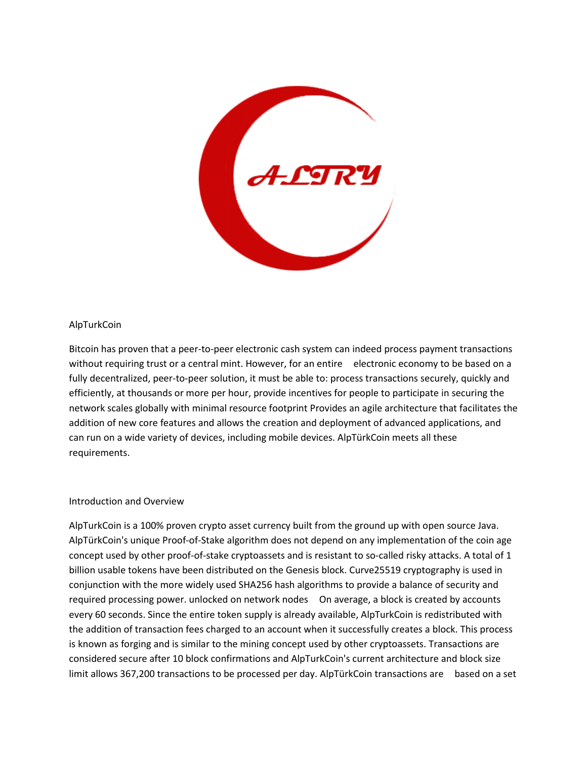

# AlpTurkCoin

Bitcoin has proven that a peer-to-peer electronic cash system can indeed process payment transactions without requiring trust or a central mint. However, for an entire electronic economy to be based on a fully decentralized, peer-to-peer solution, it must be able to: process transactions securely, quickly and efficiently, at thousands or more per hour, provide incentives for people to participate in securing the network scales globally with minimal resource footprint Provides an agile architecture that facilitates the addition of new core features and allows the creation and deployment of advanced applications, and can run on a wide variety of devices, including mobile devices. AlpTürkCoin meets all these requirements.

# Introduction and Overview

AlpTurkCoin is a 100% proven crypto asset currency built from the ground up with open source Java. AlpTürkCoin's unique Proof-of-Stake algorithm does not depend on any implementation of the coin age concept used by other proof-of-stake cryptoassets and is resistant to so-called risky attacks. A total of 1 billion usable tokens have been distributed on the Genesis block. Curve25519 cryptography is used in conjunction with the more widely used SHA256 hash algorithms to provide a balance of security and required processing power. unlocked on network nodes On average, a block is created by accounts every 60 seconds. Since the entire token supply is already available, AlpTurkCoin is redistributed with the addition of transaction fees charged to an account when it successfully creates a block. This process is known as forging and is similar to the mining concept used by other cryptoassets. Transactions are considered secure after 10 block confirmations and AlpTurkCoin's current architecture and block size limit allows 367,200 transactions to be processed per day. AlpTürkCoin transactions are based on a set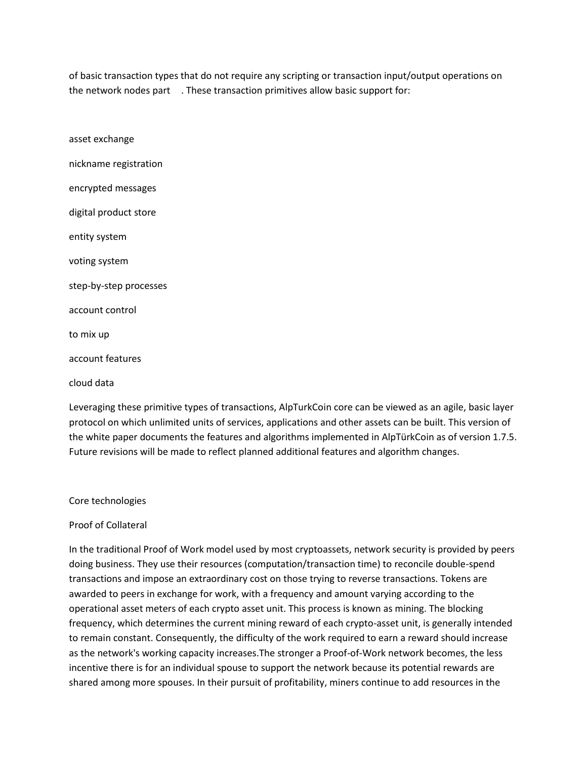of basic transaction types that do not require any scripting or transaction input/output operations on the network nodes part . These transaction primitives allow basic support for:

asset exchange nickname registration encrypted messages digital product store entity system voting system step-by-step processes account control to mix up account features cloud data

Leveraging these primitive types of transactions, AlpTurkCoin core can be viewed as an agile, basic layer protocol on which unlimited units of services, applications and other assets can be built. This version of the white paper documents the features and algorithms implemented in AlpTürkCoin as of version 1.7.5. Future revisions will be made to reflect planned additional features and algorithm changes.

## Core technologies

## Proof of Collateral

In the traditional Proof of Work model used by most cryptoassets, network security is provided by peers doing business. They use their resources (computation/transaction time) to reconcile double-spend transactions and impose an extraordinary cost on those trying to reverse transactions. Tokens are awarded to peers in exchange for work, with a frequency and amount varying according to the operational asset meters of each crypto asset unit. This process is known as mining. The blocking frequency, which determines the current mining reward of each crypto-asset unit, is generally intended to remain constant. Consequently, the difficulty of the work required to earn a reward should increase as the network's working capacity increases.The stronger a Proof-of-Work network becomes, the less incentive there is for an individual spouse to support the network because its potential rewards are shared among more spouses. In their pursuit of profitability, miners continue to add resources in the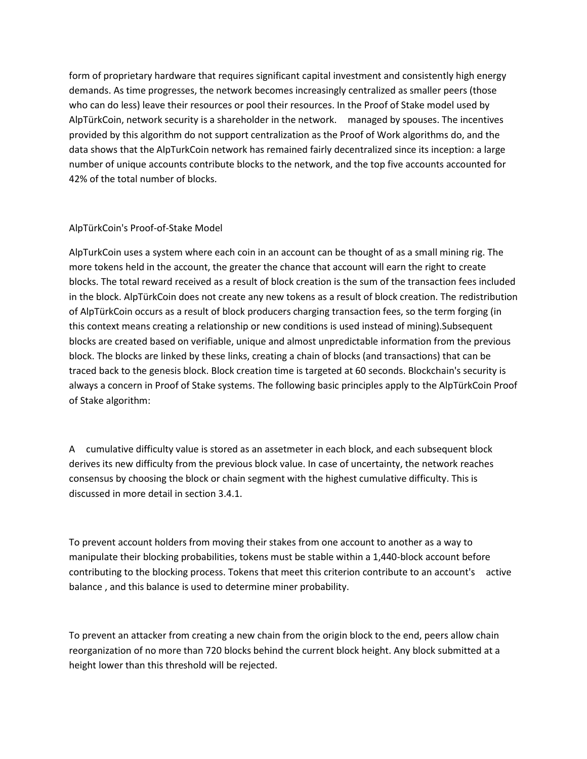form of proprietary hardware that requires significant capital investment and consistently high energy demands. As time progresses, the network becomes increasingly centralized as smaller peers (those who can do less) leave their resources or pool their resources. In the Proof of Stake model used by AlpTürkCoin, network security is a shareholder in the network. managed by spouses. The incentives provided by this algorithm do not support centralization as the Proof of Work algorithms do, and the data shows that the AlpTurkCoin network has remained fairly decentralized since its inception: a large number of unique accounts contribute blocks to the network, and the top five accounts accounted for 42% of the total number of blocks.

# AlpTürkCoin's Proof-of-Stake Model

AlpTurkCoin uses a system where each coin in an account can be thought of as a small mining rig. The more tokens held in the account, the greater the chance that account will earn the right to create blocks. The total reward received as a result of block creation is the sum of the transaction fees included in the block. AlpTürkCoin does not create any new tokens as a result of block creation. The redistribution of AlpTürkCoin occurs as a result of block producers charging transaction fees, so the term forging (in this context means creating a relationship or new conditions is used instead of mining).Subsequent blocks are created based on verifiable, unique and almost unpredictable information from the previous block. The blocks are linked by these links, creating a chain of blocks (and transactions) that can be traced back to the genesis block. Block creation time is targeted at 60 seconds. Blockchain's security is always a concern in Proof of Stake systems. The following basic principles apply to the AlpTürkCoin Proof of Stake algorithm:

A cumulative difficulty value is stored as an assetmeter in each block, and each subsequent block derives its new difficulty from the previous block value. In case of uncertainty, the network reaches consensus by choosing the block or chain segment with the highest cumulative difficulty. This is discussed in more detail in section 3.4.1.

To prevent account holders from moving their stakes from one account to another as a way to manipulate their blocking probabilities, tokens must be stable within a 1,440-block account before contributing to the blocking process. Tokens that meet this criterion contribute to an account's active balance , and this balance is used to determine miner probability.

To prevent an attacker from creating a new chain from the origin block to the end, peers allow chain reorganization of no more than 720 blocks behind the current block height. Any block submitted at a height lower than this threshold will be rejected.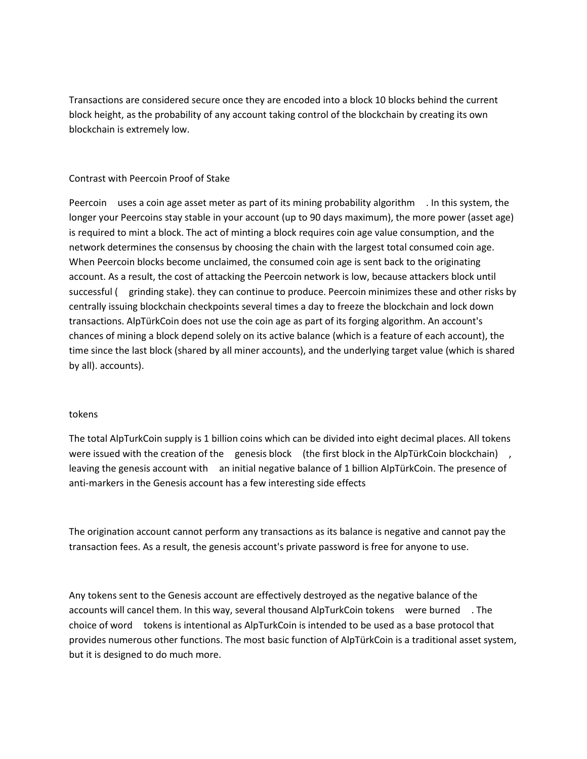Transactions are considered secure once they are encoded into a block 10 blocks behind the current block height, as the probability of any account taking control of the blockchain by creating its own blockchain is extremely low.

# Contrast with Peercoin Proof of Stake

Peercoin uses a coin age asset meter as part of its mining probability algorithm . In this system, the longer your Peercoins stay stable in your account (up to 90 days maximum), the more power (asset age) is required to mint a block. The act of minting a block requires coin age value consumption, and the network determines the consensus by choosing the chain with the largest total consumed coin age. When Peercoin blocks become unclaimed, the consumed coin age is sent back to the originating account. As a result, the cost of attacking the Peercoin network is low, because attackers block until successful ( grinding stake). they can continue to produce. Peercoin minimizes these and other risks by centrally issuing blockchain checkpoints several times a day to freeze the blockchain and lock down transactions. AlpTürkCoin does not use the coin age as part of its forging algorithm. An account's chances of mining a block depend solely on its active balance (which is a feature of each account), the time since the last block (shared by all miner accounts), and the underlying target value (which is shared by all). accounts).

## tokens

The total AlpTurkCoin supply is 1 billion coins which can be divided into eight decimal places. All tokens were issued with the creation of the genesis block (the first block in the AlpTürkCoin blockchain), leaving the genesis account with an initial negative balance of 1 billion AlpTürkCoin. The presence of anti-markers in the Genesis account has a few interesting side effects

The origination account cannot perform any transactions as its balance is negative and cannot pay the transaction fees. As a result, the genesis account's private password is free for anyone to use.

Any tokens sent to the Genesis account are effectively destroyed as the negative balance of the accounts will cancel them. In this way, several thousand AlpTurkCoin tokens were burned . The choice of word tokens is intentional as AlpTurkCoin is intended to be used as a base protocol that provides numerous other functions. The most basic function of AlpTürkCoin is a traditional asset system, but it is designed to do much more.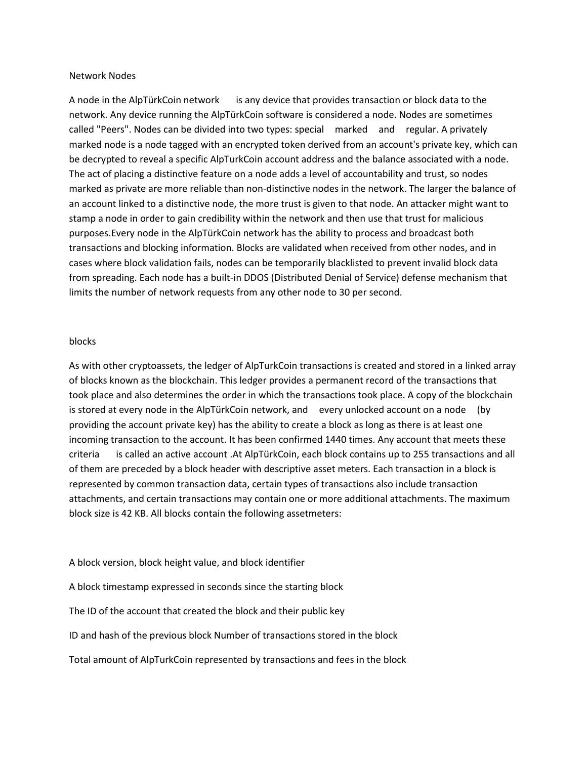#### Network Nodes

A node in the AlpTürkCoin network is any device that provides transaction or block data to the network. Any device running the AlpTürkCoin software is considered a node. Nodes are sometimes called "Peers". Nodes can be divided into two types: special marked and regular. A privately marked node is a node tagged with an encrypted token derived from an account's private key, which can be decrypted to reveal a specific AlpTurkCoin account address and the balance associated with a node. The act of placing a distinctive feature on a node adds a level of accountability and trust, so nodes marked as private are more reliable than non-distinctive nodes in the network. The larger the balance of an account linked to a distinctive node, the more trust is given to that node. An attacker might want to stamp a node in order to gain credibility within the network and then use that trust for malicious purposes.Every node in the AlpTürkCoin network has the ability to process and broadcast both transactions and blocking information. Blocks are validated when received from other nodes, and in cases where block validation fails, nodes can be temporarily blacklisted to prevent invalid block data from spreading. Each node has a built-in DDOS (Distributed Denial of Service) defense mechanism that limits the number of network requests from any other node to 30 per second.

#### blocks

As with other cryptoassets, the ledger of AlpTurkCoin transactions is created and stored in a linked array of blocks known as the blockchain. This ledger provides a permanent record of the transactions that took place and also determines the order in which the transactions took place. A copy of the blockchain is stored at every node in the AlpTürkCoin network, and every unlocked account on a node (by providing the account private key) has the ability to create a block as long as there is at least one incoming transaction to the account. It has been confirmed 1440 times. Any account that meets these criteria is called an active account .At AlpTürkCoin, each block contains up to 255 transactions and all of them are preceded by a block header with descriptive asset meters. Each transaction in a block is represented by common transaction data, certain types of transactions also include transaction attachments, and certain transactions may contain one or more additional attachments. The maximum block size is 42 KB. All blocks contain the following assetmeters:

A block version, block height value, and block identifier

A block timestamp expressed in seconds since the starting block

The ID of the account that created the block and their public key

ID and hash of the previous block Number of transactions stored in the block

Total amount of AlpTurkCoin represented by transactions and fees in the block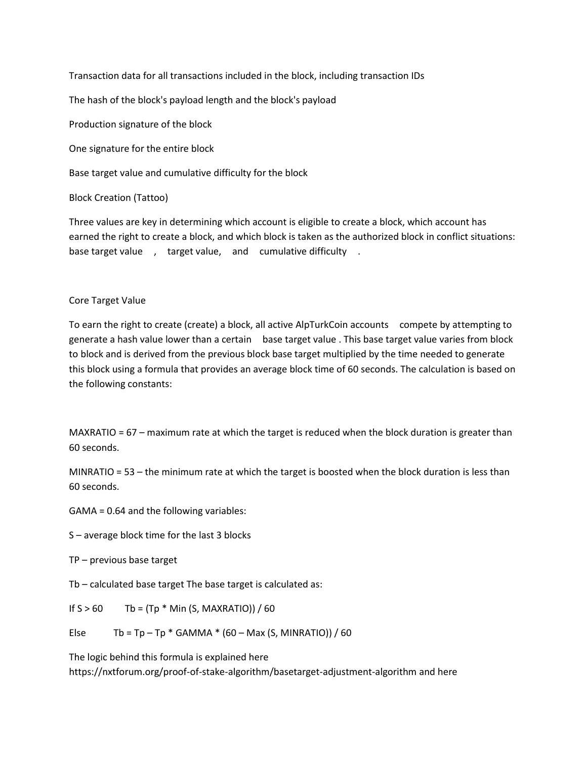Transaction data for all transactions included in the block, including transaction IDs

The hash of the block's payload length and the block's payload

Production signature of the block

One signature for the entire block

Base target value and cumulative difficulty for the block

Block Creation (Tattoo)

Three values are key in determining which account is eligible to create a block, which account has earned the right to create a block, and which block is taken as the authorized block in conflict situations: base target value , target value, and cumulative difficulty .

# Core Target Value

To earn the right to create (create) a block, all active AlpTurkCoin accounts compete by attempting to generate a hash value lower than a certain base target value . This base target value varies from block to block and is derived from the previous block base target multiplied by the time needed to generate this block using a formula that provides an average block time of 60 seconds. The calculation is based on the following constants:

MAXRATIO = 67 – maximum rate at which the target is reduced when the block duration is greater than 60 seconds.

MINRATIO = 53 – the minimum rate at which the target is boosted when the block duration is less than 60 seconds.

GAMA = 0.64 and the following variables:

S – average block time for the last 3 blocks

TP – previous base target

Tb – calculated base target The base target is calculated as:

If  $S > 60$  Tb = (Tp  $*$  Min (S, MAXRATIO)) / 60

Else Tb = Tp – Tp  $*$  GAMMA  $*$  (60 – Max (S, MINRATIO)) / 60

The logic behind this formula is explained here <https://nxtforum.org/proof-of-stake-algorithm/basetarget-adjustment-algorithm> and here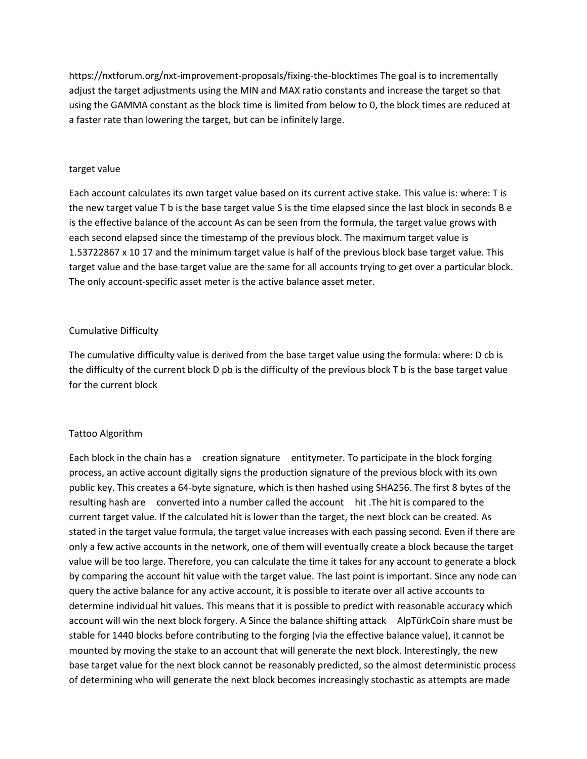<https://nxtforum.org/nxt-improvement-proposals/fixing-the-blocktimes> The goal is to incrementally adjust the target adjustments using the MIN and MAX ratio constants and increase the target so that using the GAMMA constant as the block time is limited from below to 0, the block times are reduced at a faster rate than lowering the target, but can be infinitely large.

## target value

Each account calculates its own target value based on its current active stake. This value is: where: T is the new target value T b is the base target value S is the time elapsed since the last block in seconds B e is the effective balance of the account As can be seen from the formula, the target value grows with each second elapsed since the timestamp of the previous block. The maximum target value is 1.53722867 x 10 17 and the minimum target value is half of the previous block base target value. This target value and the base target value are the same for all accounts trying to get over a particular block. The only account-specific asset meter is the active balance asset meter.

## Cumulative Difficulty

The cumulative difficulty value is derived from the base target value using the formula: where: D cb is the difficulty of the current block D pb is the difficulty of the previous block T b is the base target value for the current block

## Tattoo Algorithm

Each block in the chain has a creation signature entitymeter. To participate in the block forging process, an active account digitally signs the production signature of the previous block with its own public key. This creates a 64-byte signature, which is then hashed using SHA256. The first 8 bytes of the resulting hash are converted into a number called the account hit .The hit is compared to the current target value. If the calculated hit is lower than the target, the next block can be created. As stated in the target value formula, the target value increases with each passing second. Even if there are only a few active accounts in the network, one of them will eventually create a block because the target value will be too large. Therefore, you can calculate the time it takes for any account to generate a block by comparing the account hit value with the target value. The last point is important. Since any node can query the active balance for any active account, it is possible to iterate over all active accounts to determine individual hit values. This means that it is possible to predict with reasonable accuracy which account will win the next block forgery. A Since the balance shifting attack AlpTürkCoin share must be stable for 1440 blocks before contributing to the forging (via the effective balance value), it cannot be mounted by moving the stake to an account that will generate the next block. Interestingly, the new base target value for the next block cannot be reasonably predicted, so the almost deterministic process of determining who will generate the next block becomes increasingly stochastic as attempts are made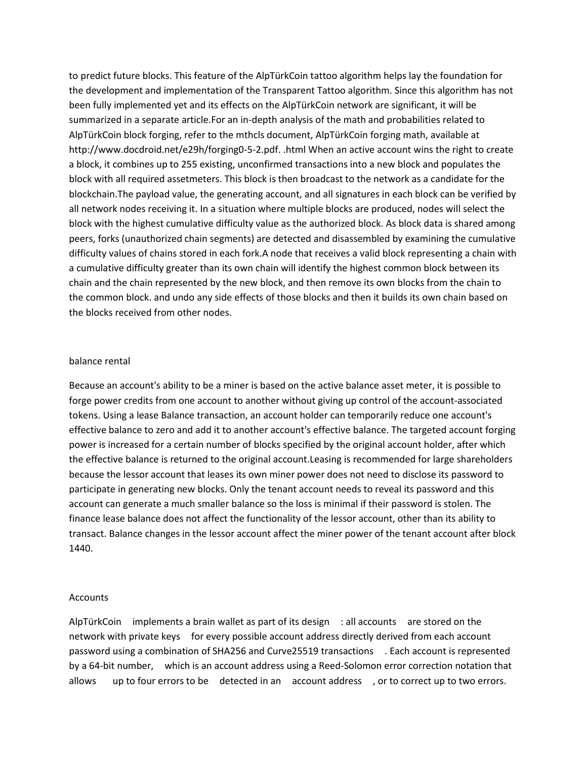to predict future blocks. This feature of the AlpTürkCoin tattoo algorithm helps lay the foundation for the development and implementation of the Transparent Tattoo algorithm. Since this algorithm has not been fully implemented yet and its effects on the AlpTürkCoin network are significant, it will be summarized in a separate article.For an in-depth analysis of the math and probabilities related to AlpTürkCoin block forging, refer to the mthcls document, AlpTürkCoin forging math, available at [http://www.docdroid.net/e29h/forging0-5-2.pdf.](http://www.docdroid.net/e29h/forging0-5-2.pdf) .html When an active account wins the right to create a block, it combines up to 255 existing, unconfirmed transactions into a new block and populates the block with all required assetmeters. This block is then broadcast to the network as a candidate for the blockchain.The payload value, the generating account, and all signatures in each block can be verified by all network nodes receiving it. In a situation where multiple blocks are produced, nodes will select the block with the highest cumulative difficulty value as the authorized block. As block data is shared among peers, forks (unauthorized chain segments) are detected and disassembled by examining the cumulative difficulty values of chains stored in each fork.A node that receives a valid block representing a chain with a cumulative difficulty greater than its own chain will identify the highest common block between its chain and the chain represented by the new block, and then remove its own blocks from the chain to the common block. and undo any side effects of those blocks and then it builds its own chain based on the blocks received from other nodes.

#### balance rental

Because an account's ability to be a miner is based on the active balance asset meter, it is possible to forge power credits from one account to another without giving up control of the account-associated tokens. Using a lease Balance transaction, an account holder can temporarily reduce one account's effective balance to zero and add it to another account's effective balance. The targeted account forging power is increased for a certain number of blocks specified by the original account holder, after which the effective balance is returned to the original account.Leasing is recommended for large shareholders because the lessor account that leases its own miner power does not need to disclose its password to participate in generating new blocks. Only the tenant account needs to reveal its password and this account can generate a much smaller balance so the loss is minimal if their password is stolen. The finance lease balance does not affect the functionality of the lessor account, other than its ability to transact. Balance changes in the lessor account affect the miner power of the tenant account after block 1440.

## Accounts

AlpTürkCoin implements a brain wallet as part of its design : all accounts are stored on the network with private keys for every possible account address directly derived from each account password using a combination of SHA256 and Curve25519 transactions . Each account is represented by a 64-bit number, which is an account address using a Reed-Solomon error correction notation that allows up to four errors to be detected in an account address , or to correct up to two errors.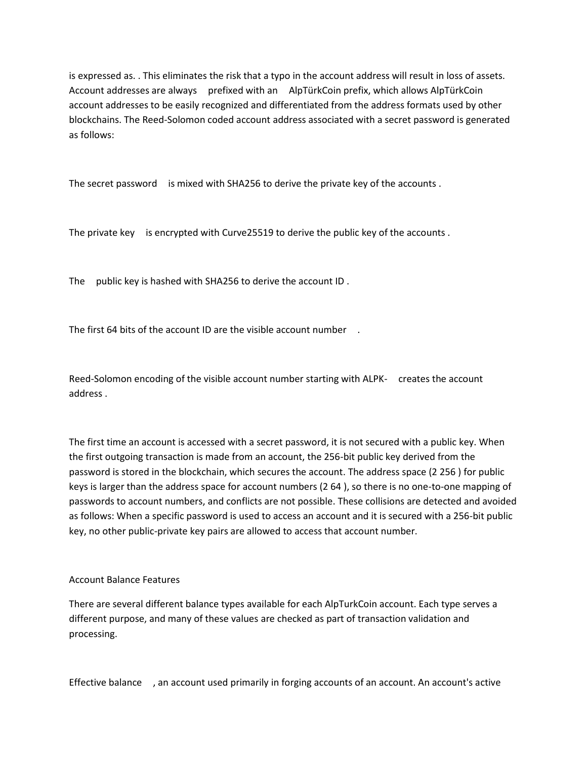is expressed as. . This eliminates the risk that a typo in the account address will result in loss of assets. Account addresses are always prefixed with an AlpTürkCoin prefix, which allows AlpTürkCoin account addresses to be easily recognized and differentiated from the address formats used by other blockchains. The Reed-Solomon coded account address associated with a secret password is generated as follows:

The secret password is mixed with SHA256 to derive the private key of the accounts .

The private key is encrypted with Curve25519 to derive the public key of the accounts.

The public key is hashed with SHA256 to derive the account ID .

The first 64 bits of the account ID are the visible account number .

Reed-Solomon encoding of the visible account number starting with ALPK- creates the account address .

The first time an account is accessed with a secret password, it is not secured with a public key. When the first outgoing transaction is made from an account, the 256-bit public key derived from the password is stored in the blockchain, which secures the account. The address space (2 256 ) for public keys is larger than the address space for account numbers (2 64 ), so there is no one-to-one mapping of passwords to account numbers, and conflicts are not possible. These collisions are detected and avoided as follows: When a specific password is used to access an account and it is secured with a 256-bit public key, no other public-private key pairs are allowed to access that account number.

# Account Balance Features

There are several different balance types available for each AlpTurkCoin account. Each type serves a different purpose, and many of these values are checked as part of transaction validation and processing.

Effective balance , an account used primarily in forging accounts of an account. An account's active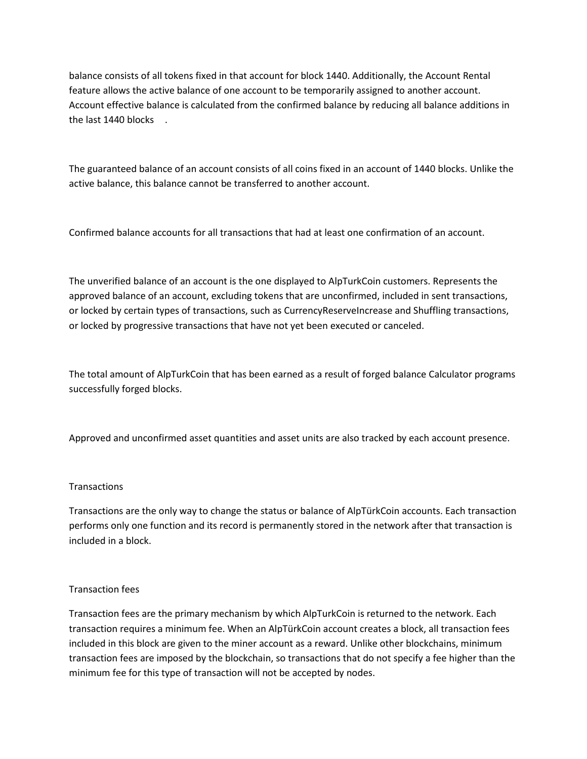balance consists of all tokens fixed in that account for block 1440. Additionally, the Account Rental feature allows the active balance of one account to be temporarily assigned to another account. Account effective balance is calculated from the confirmed balance by reducing all balance additions in the last 1440 blocks .

The guaranteed balance of an account consists of all coins fixed in an account of 1440 blocks. Unlike the active balance, this balance cannot be transferred to another account.

Confirmed balance accounts for all transactions that had at least one confirmation of an account.

The unverified balance of an account is the one displayed to AlpTurkCoin customers. Represents the approved balance of an account, excluding tokens that are unconfirmed, included in sent transactions, or locked by certain types of transactions, such as CurrencyReserveIncrease and Shuffling transactions, or locked by progressive transactions that have not yet been executed or canceled.

The total amount of AlpTurkCoin that has been earned as a result of forged balance Calculator programs successfully forged blocks.

Approved and unconfirmed asset quantities and asset units are also tracked by each account presence.

# **Transactions**

Transactions are the only way to change the status or balance of AlpTürkCoin accounts. Each transaction performs only one function and its record is permanently stored in the network after that transaction is included in a block.

## Transaction fees

Transaction fees are the primary mechanism by which AlpTurkCoin is returned to the network. Each transaction requires a minimum fee. When an AlpTürkCoin account creates a block, all transaction fees included in this block are given to the miner account as a reward. Unlike other blockchains, minimum transaction fees are imposed by the blockchain, so transactions that do not specify a fee higher than the minimum fee for this type of transaction will not be accepted by nodes.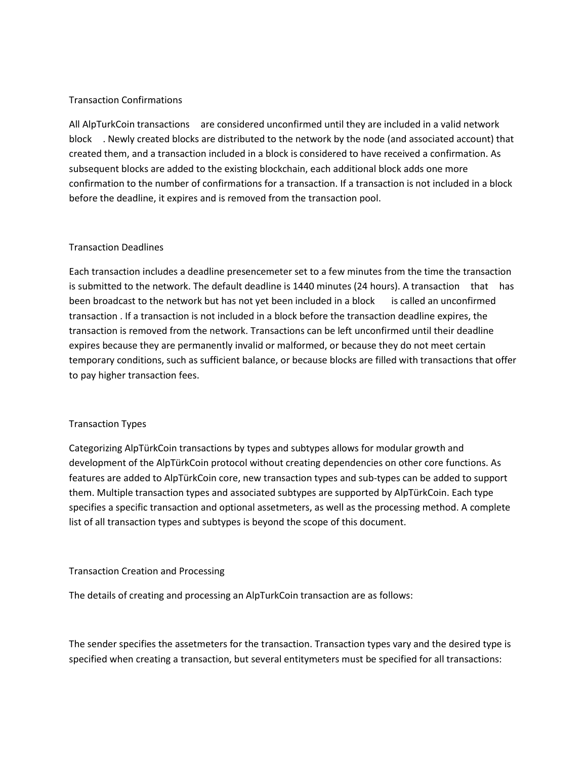## Transaction Confirmations

All AlpTurkCoin transactions are considered unconfirmed until they are included in a valid network block . Newly created blocks are distributed to the network by the node (and associated account) that created them, and a transaction included in a block is considered to have received a confirmation. As subsequent blocks are added to the existing blockchain, each additional block adds one more confirmation to the number of confirmations for a transaction. If a transaction is not included in a block before the deadline, it expires and is removed from the transaction pool.

## Transaction Deadlines

Each transaction includes a deadline presencemeter set to a few minutes from the time the transaction is submitted to the network. The default deadline is 1440 minutes (24 hours). A transaction that has been broadcast to the network but has not yet been included in a block is called an unconfirmed transaction . If a transaction is not included in a block before the transaction deadline expires, the transaction is removed from the network. Transactions can be left unconfirmed until their deadline expires because they are permanently invalid or malformed, or because they do not meet certain temporary conditions, such as sufficient balance, or because blocks are filled with transactions that offer to pay higher transaction fees.

## Transaction Types

Categorizing AlpTürkCoin transactions by types and subtypes allows for modular growth and development of the AlpTürkCoin protocol without creating dependencies on other core functions. As features are added to AlpTürkCoin core, new transaction types and sub-types can be added to support them. Multiple transaction types and associated subtypes are supported by AlpTürkCoin. Each type specifies a specific transaction and optional assetmeters, as well as the processing method. A complete list of all transaction types and subtypes is beyond the scope of this document.

## Transaction Creation and Processing

The details of creating and processing an AlpTurkCoin transaction are as follows:

The sender specifies the assetmeters for the transaction. Transaction types vary and the desired type is specified when creating a transaction, but several entitymeters must be specified for all transactions: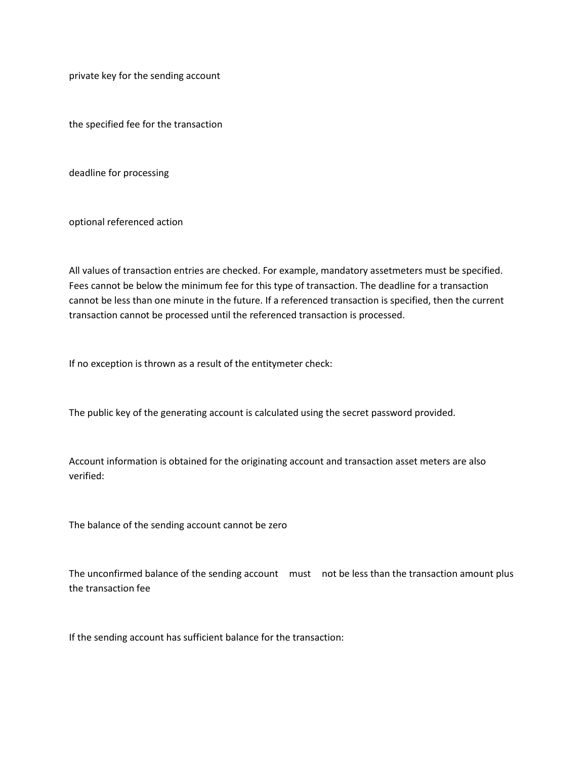private key for the sending account

the specified fee for the transaction

deadline for processing

optional referenced action

All values of transaction entries are checked. For example, mandatory assetmeters must be specified. Fees cannot be below the minimum fee for this type of transaction. The deadline for a transaction cannot be less than one minute in the future. If a referenced transaction is specified, then the current transaction cannot be processed until the referenced transaction is processed.

If no exception is thrown as a result of the entitymeter check:

The public key of the generating account is calculated using the secret password provided.

Account information is obtained for the originating account and transaction asset meters are also verified:

The balance of the sending account cannot be zero

The unconfirmed balance of the sending account must not be less than the transaction amount plus the transaction fee

If the sending account has sufficient balance for the transaction: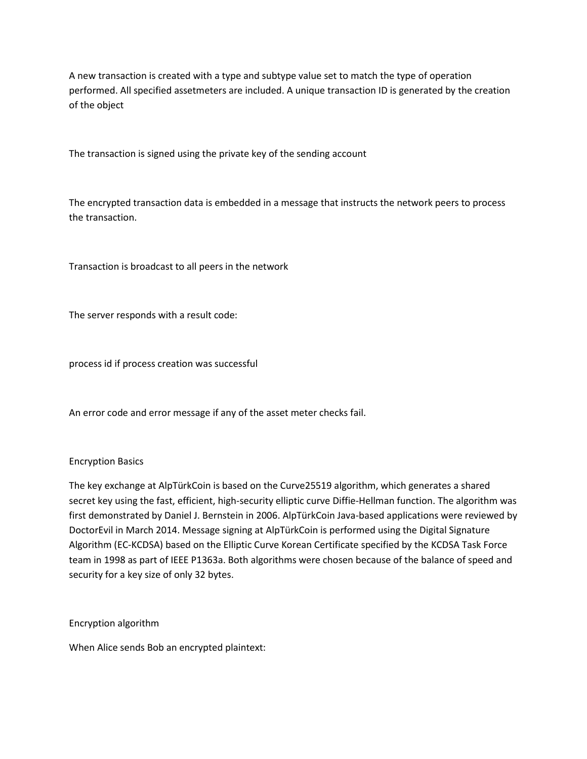A new transaction is created with a type and subtype value set to match the type of operation performed. All specified assetmeters are included. A unique transaction ID is generated by the creation of the object

The transaction is signed using the private key of the sending account

The encrypted transaction data is embedded in a message that instructs the network peers to process the transaction.

Transaction is broadcast to all peers in the network

The server responds with a result code:

process id if process creation was successful

An error code and error message if any of the asset meter checks fail.

## Encryption Basics

The key exchange at AlpTürkCoin is based on the Curve25519 algorithm, which generates a shared secret key using the fast, efficient, high-security elliptic curve Diffie-Hellman function. The algorithm was first demonstrated by Daniel J. Bernstein in 2006. AlpTürkCoin Java-based applications were reviewed by DoctorEvil in March 2014. Message signing at AlpTürkCoin is performed using the Digital Signature Algorithm (EC-KCDSA) based on the Elliptic Curve Korean Certificate specified by the KCDSA Task Force team in 1998 as part of IEEE P1363a. Both algorithms were chosen because of the balance of speed and security for a key size of only 32 bytes.

Encryption algorithm

When Alice sends Bob an encrypted plaintext: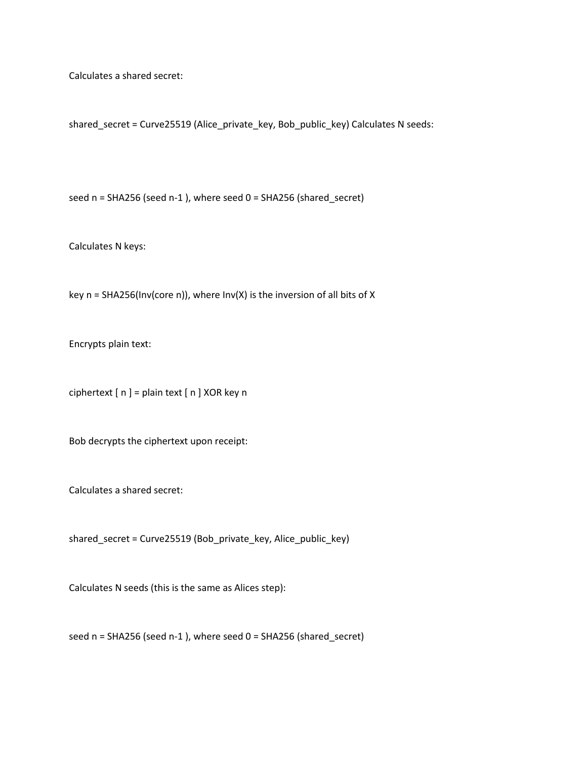Calculates a shared secret:

shared\_secret = Curve25519 (Alice\_private\_key, Bob\_public\_key) Calculates N seeds:

seed n = SHA256 (seed n-1 ), where seed 0 = SHA256 (shared\_secret)

Calculates N keys:

key n = SHA256(Inv(core n)), where Inv(X) is the inversion of all bits of X

Encrypts plain text:

ciphertext [ n ] = plain text [ n ] XOR key n

Bob decrypts the ciphertext upon receipt:

Calculates a shared secret:

shared\_secret = Curve25519 (Bob\_private\_key, Alice\_public\_key)

Calculates N seeds (this is the same as Alices step):

seed n = SHA256 (seed n-1 ), where seed 0 = SHA256 (shared\_secret)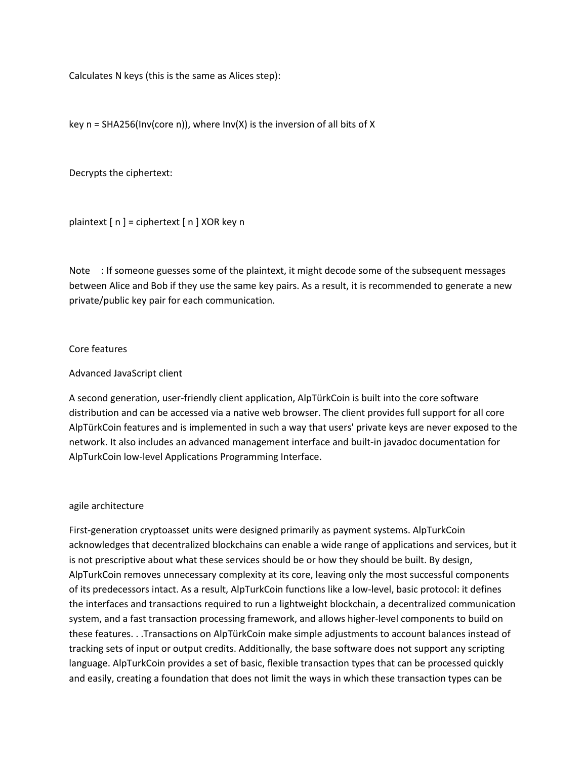Calculates N keys (this is the same as Alices step):

key  $n = SHA256(lnv(core n))$ , where  $Inv(X)$  is the inversion of all bits of X

Decrypts the ciphertext:

plaintext [ n ] = ciphertext [ n ] XOR key n

Note : If someone guesses some of the plaintext, it might decode some of the subsequent messages between Alice and Bob if they use the same key pairs. As a result, it is recommended to generate a new private/public key pair for each communication.

## Core features

## Advanced JavaScript client

A second generation, user-friendly client application, AlpTürkCoin is built into the core software distribution and can be accessed via a native web browser. The client provides full support for all core AlpTürkCoin features and is implemented in such a way that users' private keys are never exposed to the network. It also includes an advanced management interface and built-in javadoc documentation for AlpTurkCoin low-level Applications Programming Interface.

## agile architecture

First-generation cryptoasset units were designed primarily as payment systems. AlpTurkCoin acknowledges that decentralized blockchains can enable a wide range of applications and services, but it is not prescriptive about what these services should be or how they should be built. By design, AlpTurkCoin removes unnecessary complexity at its core, leaving only the most successful components of its predecessors intact. As a result, AlpTurkCoin functions like a low-level, basic protocol: it defines the interfaces and transactions required to run a lightweight blockchain, a decentralized communication system, and a fast transaction processing framework, and allows higher-level components to build on these features. . .Transactions on AlpTürkCoin make simple adjustments to account balances instead of tracking sets of input or output credits. Additionally, the base software does not support any scripting language. AlpTurkCoin provides a set of basic, flexible transaction types that can be processed quickly and easily, creating a foundation that does not limit the ways in which these transaction types can be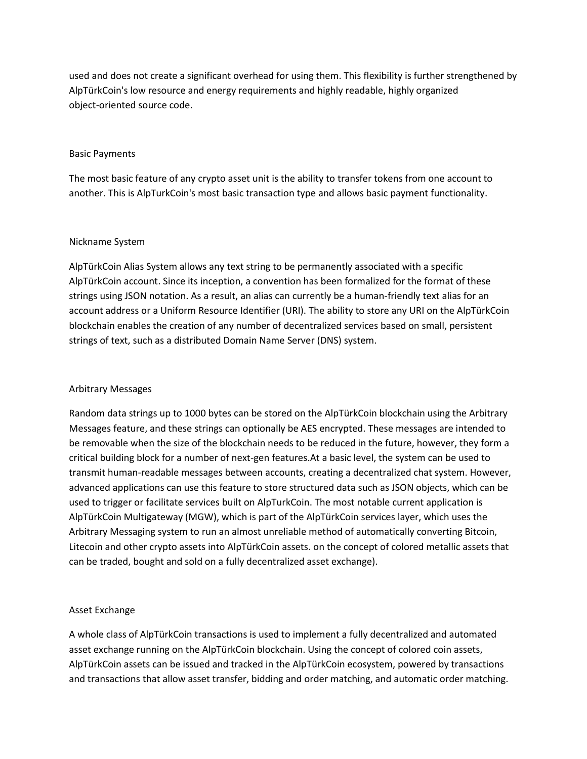used and does not create a significant overhead for using them. This flexibility is further strengthened by AlpTürkCoin's low resource and energy requirements and highly readable, highly organized object-oriented source code.

## Basic Payments

The most basic feature of any crypto asset unit is the ability to transfer tokens from one account to another. This is AlpTurkCoin's most basic transaction type and allows basic payment functionality.

## Nickname System

AlpTürkCoin Alias System allows any text string to be permanently associated with a specific AlpTürkCoin account. Since its inception, a convention has been formalized for the format of these strings using JSON notation. As a result, an alias can currently be a human-friendly text alias for an account address or a Uniform Resource Identifier (URI). The ability to store any URI on the AlpTürkCoin blockchain enables the creation of any number of decentralized services based on small, persistent strings of text, such as a distributed Domain Name Server (DNS) system.

# Arbitrary Messages

Random data strings up to 1000 bytes can be stored on the AlpTürkCoin blockchain using the Arbitrary Messages feature, and these strings can optionally be AES encrypted. These messages are intended to be removable when the size of the blockchain needs to be reduced in the future, however, they form a critical building block for a number of next-gen features.At a basic level, the system can be used to transmit human-readable messages between accounts, creating a decentralized chat system. However, advanced applications can use this feature to store structured data such as JSON objects, which can be used to trigger or facilitate services built on AlpTurkCoin. The most notable current application is AlpTürkCoin Multigateway (MGW), which is part of the AlpTürkCoin services layer, which uses the Arbitrary Messaging system to run an almost unreliable method of automatically converting Bitcoin, Litecoin and other crypto assets into AlpTürkCoin assets. on the concept of colored metallic assets that can be traded, bought and sold on a fully decentralized asset exchange).

# Asset Exchange

A whole class of AlpTürkCoin transactions is used to implement a fully decentralized and automated asset exchange running on the AlpTürkCoin blockchain. Using the concept of colored coin assets, AlpTürkCoin assets can be issued and tracked in the AlpTürkCoin ecosystem, powered by transactions and transactions that allow asset transfer, bidding and order matching, and automatic order matching.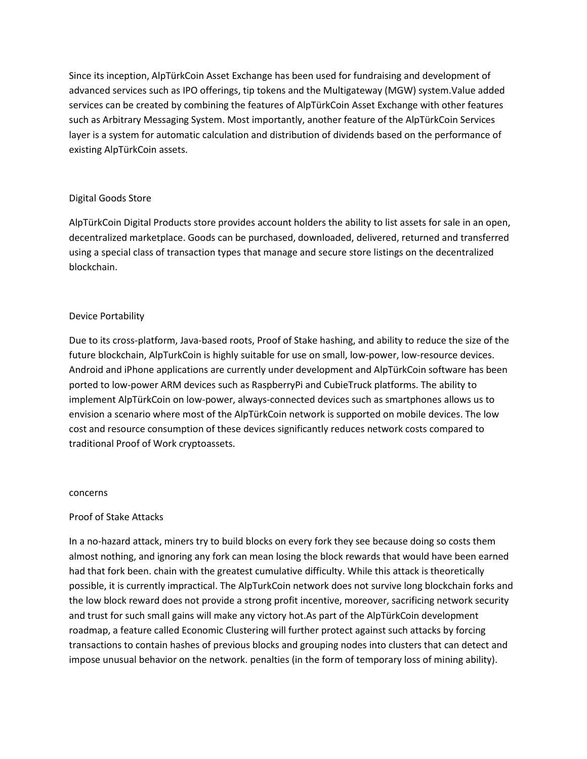Since its inception, AlpTürkCoin Asset Exchange has been used for fundraising and development of advanced services such as IPO offerings, tip tokens and the Multigateway (MGW) system.Value added services can be created by combining the features of AlpTürkCoin Asset Exchange with other features such as Arbitrary Messaging System. Most importantly, another feature of the AlpTürkCoin Services layer is a system for automatic calculation and distribution of dividends based on the performance of existing AlpTürkCoin assets.

# Digital Goods Store

AlpTürkCoin Digital Products store provides account holders the ability to list assets for sale in an open, decentralized marketplace. Goods can be purchased, downloaded, delivered, returned and transferred using a special class of transaction types that manage and secure store listings on the decentralized blockchain.

# Device Portability

Due to its cross-platform, Java-based roots, Proof of Stake hashing, and ability to reduce the size of the future blockchain, AlpTurkCoin is highly suitable for use on small, low-power, low-resource devices. Android and iPhone applications are currently under development and AlpTürkCoin software has been ported to low-power ARM devices such as RaspberryPi and CubieTruck platforms. The ability to implement AlpTürkCoin on low-power, always-connected devices such as smartphones allows us to envision a scenario where most of the AlpTürkCoin network is supported on mobile devices. The low cost and resource consumption of these devices significantly reduces network costs compared to traditional Proof of Work cryptoassets.

# concerns

# Proof of Stake Attacks

In a no-hazard attack, miners try to build blocks on every fork they see because doing so costs them almost nothing, and ignoring any fork can mean losing the block rewards that would have been earned had that fork been. chain with the greatest cumulative difficulty. While this attack is theoretically possible, it is currently impractical. The AlpTurkCoin network does not survive long blockchain forks and the low block reward does not provide a strong profit incentive, moreover, sacrificing network security and trust for such small gains will make any victory hot.As part of the AlpTürkCoin development roadmap, a feature called Economic Clustering will further protect against such attacks by forcing transactions to contain hashes of previous blocks and grouping nodes into clusters that can detect and impose unusual behavior on the network. penalties (in the form of temporary loss of mining ability).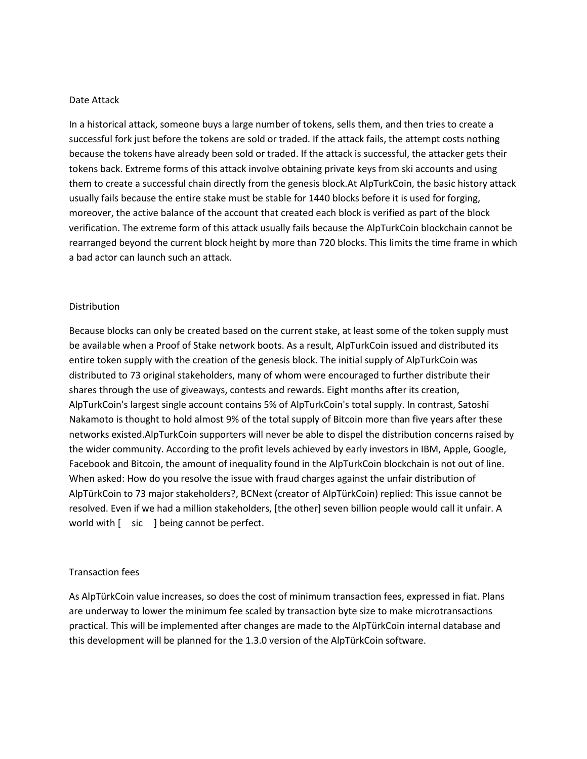## Date Attack

In a historical attack, someone buys a large number of tokens, sells them, and then tries to create a successful fork just before the tokens are sold or traded. If the attack fails, the attempt costs nothing because the tokens have already been sold or traded. If the attack is successful, the attacker gets their tokens back. Extreme forms of this attack involve obtaining private keys from ski accounts and using them to create a successful chain directly from the genesis block.At AlpTurkCoin, the basic history attack usually fails because the entire stake must be stable for 1440 blocks before it is used for forging, moreover, the active balance of the account that created each block is verified as part of the block verification. The extreme form of this attack usually fails because the AlpTurkCoin blockchain cannot be rearranged beyond the current block height by more than 720 blocks. This limits the time frame in which a bad actor can launch such an attack.

#### Distribution

Because blocks can only be created based on the current stake, at least some of the token supply must be available when a Proof of Stake network boots. As a result, AlpTurkCoin issued and distributed its entire token supply with the creation of the genesis block. The initial supply of AlpTurkCoin was distributed to 73 original stakeholders, many of whom were encouraged to further distribute their shares through the use of giveaways, contests and rewards. Eight months after its creation, AlpTurkCoin's largest single account contains 5% of AlpTurkCoin's total supply. In contrast, Satoshi Nakamoto is thought to hold almost 9% of the total supply of Bitcoin more than five years after these networks existed.AlpTurkCoin supporters will never be able to dispel the distribution concerns raised by the wider community. According to the profit levels achieved by early investors in IBM, Apple, Google, Facebook and Bitcoin, the amount of inequality found in the AlpTurkCoin blockchain is not out of line. When asked: How do you resolve the issue with fraud charges against the unfair distribution of AlpTürkCoin to 73 major stakeholders?, BCNext (creator of AlpTürkCoin) replied: This issue cannot be resolved. Even if we had a million stakeholders, [the other] seven billion people would call it unfair. A world with [ sic ] being cannot be perfect.

#### Transaction fees

As AlpTürkCoin value increases, so does the cost of minimum transaction fees, expressed in fiat. Plans are underway to lower the minimum fee scaled by transaction byte size to make microtransactions practical. This will be implemented after changes are made to the AlpTürkCoin internal database and this development will be planned for the 1.3.0 version of the AlpTürkCoin software.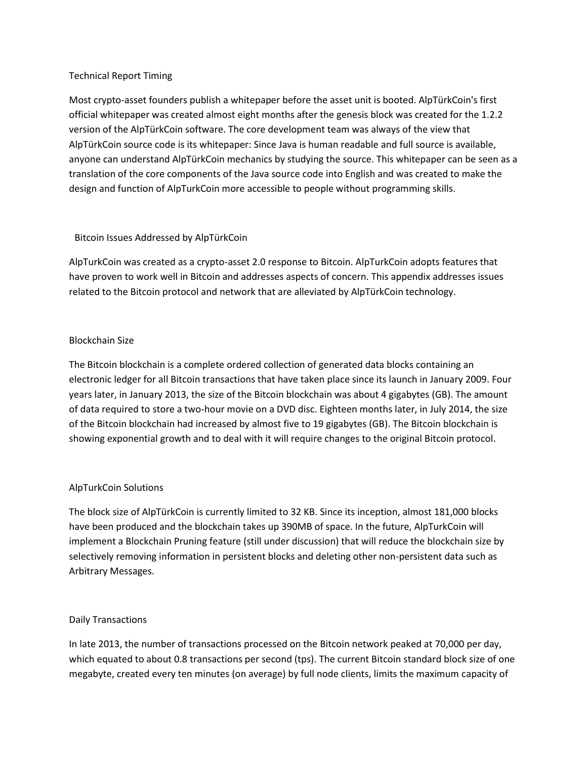# Technical Report Timing

Most crypto-asset founders publish a whitepaper before the asset unit is booted. AlpTürkCoin's first official whitepaper was created almost eight months after the genesis block was created for the 1.2.2 version of the AlpTürkCoin software. The core development team was always of the view that AlpTürkCoin source code is its whitepaper: Since Java is human readable and full source is available, anyone can understand AlpTürkCoin mechanics by studying the source. This whitepaper can be seen as a translation of the core components of the Java source code into English and was created to make the design and function of AlpTurkCoin more accessible to people without programming skills.

# Bitcoin Issues Addressed by AlpTürkCoin

AlpTurkCoin was created as a crypto-asset 2.0 response to Bitcoin. AlpTurkCoin adopts features that have proven to work well in Bitcoin and addresses aspects of concern. This appendix addresses issues related to the Bitcoin protocol and network that are alleviated by AlpTürkCoin technology.

# Blockchain Size

The Bitcoin blockchain is a complete ordered collection of generated data blocks containing an electronic ledger for all Bitcoin transactions that have taken place since its launch in January 2009. Four years later, in January 2013, the size of the Bitcoin blockchain was about 4 gigabytes (GB). The amount of data required to store a two-hour movie on a DVD disc. Eighteen months later, in July 2014, the size of the Bitcoin blockchain had increased by almost five to 19 gigabytes (GB). The Bitcoin blockchain is showing exponential growth and to deal with it will require changes to the original Bitcoin protocol.

# AlpTurkCoin Solutions

The block size of AlpTürkCoin is currently limited to 32 KB. Since its inception, almost 181,000 blocks have been produced and the blockchain takes up 390MB of space. In the future, AlpTurkCoin will implement a Blockchain Pruning feature (still under discussion) that will reduce the blockchain size by selectively removing information in persistent blocks and deleting other non-persistent data such as Arbitrary Messages.

# Daily Transactions

In late 2013, the number of transactions processed on the Bitcoin network peaked at 70,000 per day, which equated to about 0.8 transactions per second (tps). The current Bitcoin standard block size of one megabyte, created every ten minutes (on average) by full node clients, limits the maximum capacity of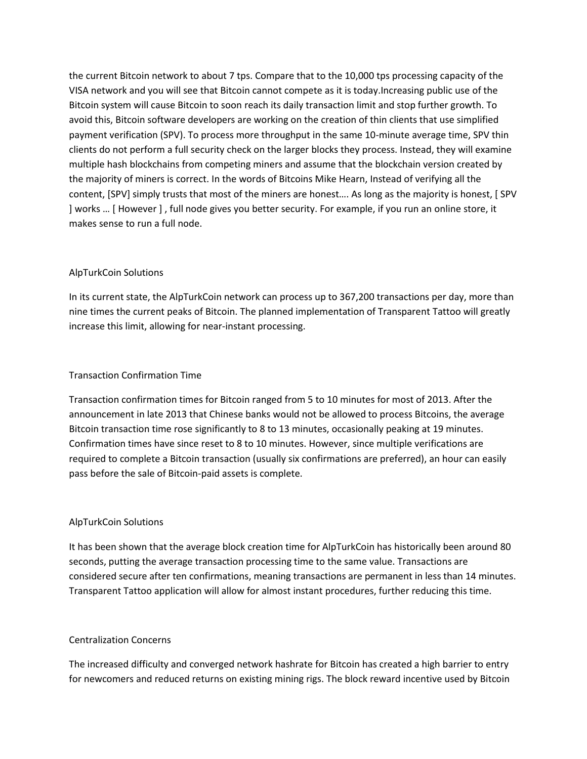the current Bitcoin network to about 7 tps. Compare that to the 10,000 tps processing capacity of the VISA network and you will see that Bitcoin cannot compete as it is today.Increasing public use of the Bitcoin system will cause Bitcoin to soon reach its daily transaction limit and stop further growth. To avoid this, Bitcoin software developers are working on the creation of thin clients that use simplified payment verification (SPV). To process more throughput in the same 10-minute average time, SPV thin clients do not perform a full security check on the larger blocks they process. Instead, they will examine multiple hash blockchains from competing miners and assume that the blockchain version created by the majority of miners is correct. In the words of Bitcoins Mike Hearn, Instead of verifying all the content, [SPV] simply trusts that most of the miners are honest…. As long as the majority is honest, [ SPV ] works … [ However ] , full node gives you better security. For example, if you run an online store, it makes sense to run a full node.

# AlpTurkCoin Solutions

In its current state, the AlpTurkCoin network can process up to 367,200 transactions per day, more than nine times the current peaks of Bitcoin. The planned implementation of Transparent Tattoo will greatly increase this limit, allowing for near-instant processing.

## Transaction Confirmation Time

Transaction confirmation times for Bitcoin ranged from 5 to 10 minutes for most of 2013. After the announcement in late 2013 that Chinese banks would not be allowed to process Bitcoins, the average Bitcoin transaction time rose significantly to 8 to 13 minutes, occasionally peaking at 19 minutes. Confirmation times have since reset to 8 to 10 minutes. However, since multiple verifications are required to complete a Bitcoin transaction (usually six confirmations are preferred), an hour can easily pass before the sale of Bitcoin-paid assets is complete.

# AlpTurkCoin Solutions

It has been shown that the average block creation time for AlpTurkCoin has historically been around 80 seconds, putting the average transaction processing time to the same value. Transactions are considered secure after ten confirmations, meaning transactions are permanent in less than 14 minutes. Transparent Tattoo application will allow for almost instant procedures, further reducing this time.

## Centralization Concerns

The increased difficulty and converged network hashrate for Bitcoin has created a high barrier to entry for newcomers and reduced returns on existing mining rigs. The block reward incentive used by Bitcoin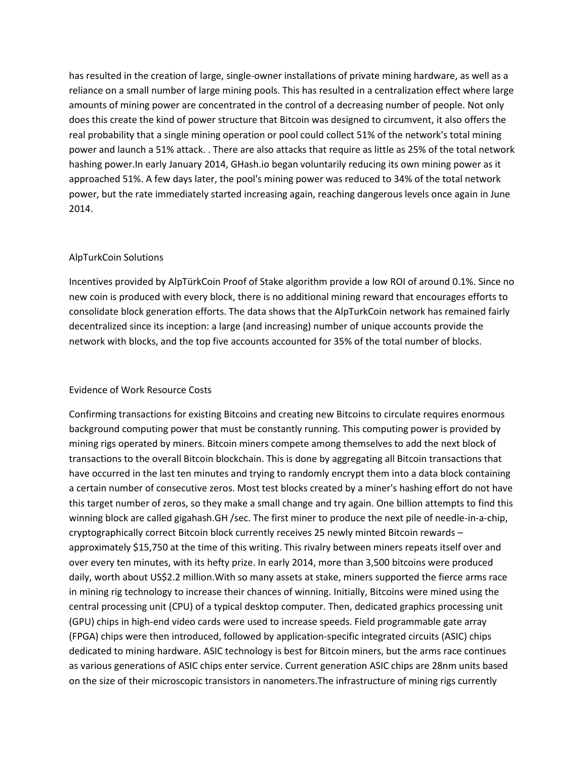has resulted in the creation of large, single-owner installations of private mining hardware, as well as a reliance on a small number of large mining pools. This has resulted in a centralization effect where large amounts of mining power are concentrated in the control of a decreasing number of people. Not only does this create the kind of power structure that Bitcoin was designed to circumvent, it also offers the real probability that a single mining operation or pool could collect 51% of the network's total mining power and launch a 51% attack. . There are also attacks that require as little as 25% of the total network hashing power.In early January 2014, GHash.io began voluntarily reducing its own mining power as it approached 51%. A few days later, the pool's mining power was reduced to 34% of the total network power, but the rate immediately started increasing again, reaching dangerous levels once again in June 2014.

# AlpTurkCoin Solutions

Incentives provided by AlpTürkCoin Proof of Stake algorithm provide a low ROI of around 0.1%. Since no new coin is produced with every block, there is no additional mining reward that encourages efforts to consolidate block generation efforts. The data shows that the AlpTurkCoin network has remained fairly decentralized since its inception: a large (and increasing) number of unique accounts provide the network with blocks, and the top five accounts accounted for 35% of the total number of blocks.

# Evidence of Work Resource Costs

Confirming transactions for existing Bitcoins and creating new Bitcoins to circulate requires enormous background computing power that must be constantly running. This computing power is provided by mining rigs operated by miners. Bitcoin miners compete among themselves to add the next block of transactions to the overall Bitcoin blockchain. This is done by aggregating all Bitcoin transactions that have occurred in the last ten minutes and trying to randomly encrypt them into a data block containing a certain number of consecutive zeros. Most test blocks created by a miner's hashing effort do not have this target number of zeros, so they make a small change and try again. One billion attempts to find this winning block are called gigahash.GH /sec. The first miner to produce the next pile of needle-in-a-chip, cryptographically correct Bitcoin block currently receives 25 newly minted Bitcoin rewards – approximately \$15,750 at the time of this writing. This rivalry between miners repeats itself over and over every ten minutes, with its hefty prize. In early 2014, more than 3,500 bitcoins were produced daily, worth about US\$2.2 million.With so many assets at stake, miners supported the fierce arms race in mining rig technology to increase their chances of winning. Initially, Bitcoins were mined using the central processing unit (CPU) of a typical desktop computer. Then, dedicated graphics processing unit (GPU) chips in high-end video cards were used to increase speeds. Field programmable gate array (FPGA) chips were then introduced, followed by application-specific integrated circuits (ASIC) chips dedicated to mining hardware. ASIC technology is best for Bitcoin miners, but the arms race continues as various generations of ASIC chips enter service. Current generation ASIC chips are 28nm units based on the size of their microscopic transistors in nanometers.The infrastructure of mining rigs currently